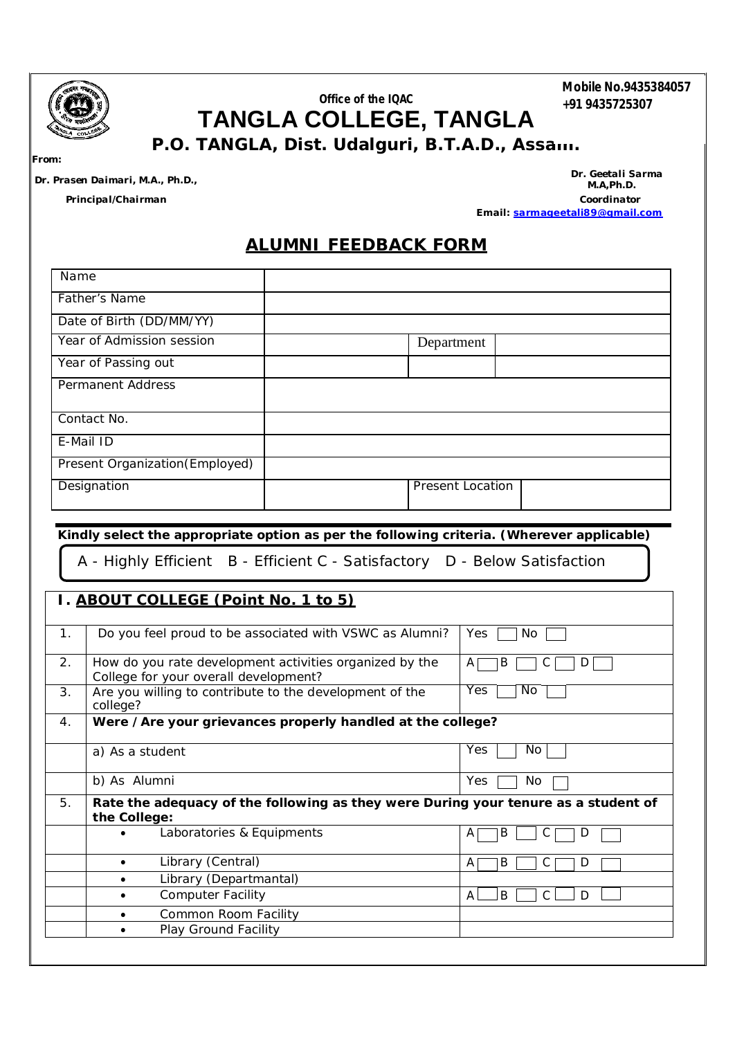

## **Office of the IQAC TANGLA COLLEGE, TANGLA P.O. TANGLA, Dist. Udalguri, B.T.A.D., Assam.**

**Mobile No.9435384057 +91 9435725307**

*From:*

*Dr. Prasen Daimari, M.A., Ph.D., Dr. Geetali Sarma M.A,Ph.D. Principal/Chairman Coordinator*  **Email:** *sarmageetali89@gmail.com*

## **ALUMNI FEEDBACK FORM**

| Name                            |                  |
|---------------------------------|------------------|
| Father's Name                   |                  |
| Date of Birth (DD/MM/YY)        |                  |
| Year of Admission session       | Department       |
| Year of Passing out             |                  |
| <b>Permanent Address</b>        |                  |
| Contact No.                     |                  |
| E-Mail ID                       |                  |
| Present Organization (Employed) |                  |
| Designation                     | Present Location |

**Kindly select the appropriate option as per the following criteria. (Wherever applicable)**

A - Highly Efficient B - Efficient C - Satisfactory D - Below Satisfaction

## **I. ABOUT COLLEGE (Point No. 1 to 5)**

| 1. |                 | Do you feel proud to be associated with VSWC as Alumni?                                          | <b>Yes</b><br>No. |
|----|-----------------|--------------------------------------------------------------------------------------------------|-------------------|
| 2. |                 | How do you rate development activities organized by the<br>College for your overall development? | В<br>A<br>D<br>◡  |
| 3. | college?        | Are you willing to contribute to the development of the                                          | Yes<br>No.        |
| 4. |                 | Were /Are your grievances properly handled at the college?                                       |                   |
|    | a) As a student |                                                                                                  | Yes<br>No.        |
|    | b) As Alumni    |                                                                                                  | Yes<br>No         |
| 5. | the College:    | Rate the adequacy of the following as they were During your tenure as a student of               |                   |
|    |                 | Laboratories & Equipments                                                                        | B<br>A            |
|    |                 | Library (Central)                                                                                | B<br>A<br>U       |
|    |                 | Library (Departmantal)                                                                           |                   |
|    |                 | <b>Computer Facility</b>                                                                         | B<br>A<br>D       |
|    |                 | Common Room Facility                                                                             |                   |
|    |                 | Play Ground Facility                                                                             |                   |
|    |                 |                                                                                                  |                   |